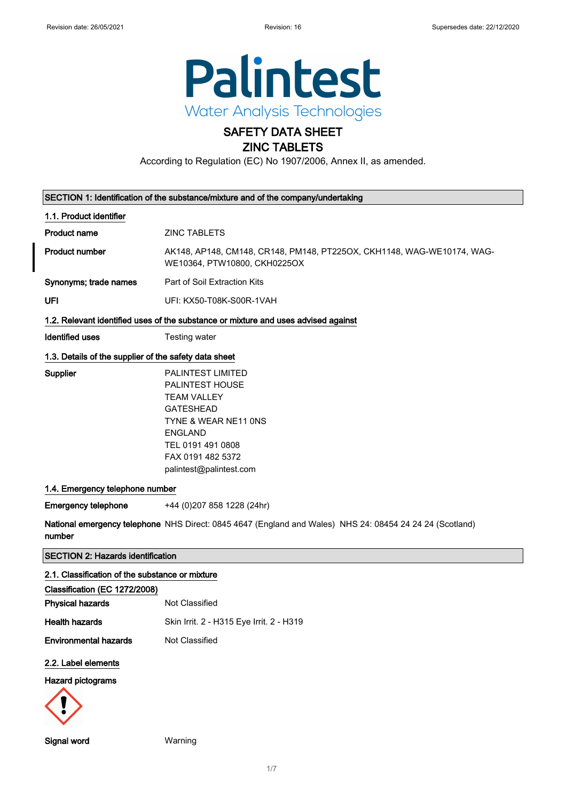

# SAFETY DATA SHEET

### ZINC TABLETS

According to Regulation (EC) No 1907/2006, Annex II, as amended.

| SECTION 1: Identification of the substance/mixture and of the company/undertaking |                                                                                                                                                                                                                                                                                                                                          |
|-----------------------------------------------------------------------------------|------------------------------------------------------------------------------------------------------------------------------------------------------------------------------------------------------------------------------------------------------------------------------------------------------------------------------------------|
| 1.1. Product identifier                                                           |                                                                                                                                                                                                                                                                                                                                          |
| <b>Product name</b>                                                               | <b>ZINC TABLETS</b>                                                                                                                                                                                                                                                                                                                      |
| <b>Product number</b>                                                             | AK148, AP148, CM148, CR148, PM148, PT225OX, CKH1148, WAG-WE10174, WAG-<br>WE10364, PTW10800, CKH0225OX                                                                                                                                                                                                                                   |
| Synonyms; trade names                                                             | Part of Soil Extraction Kits                                                                                                                                                                                                                                                                                                             |
| UFI                                                                               | UFI: KX50-T08K-S00R-1VAH                                                                                                                                                                                                                                                                                                                 |
|                                                                                   | 1.2. Relevant identified uses of the substance or mixture and uses advised against                                                                                                                                                                                                                                                       |
| <b>Identified uses</b>                                                            | Testing water                                                                                                                                                                                                                                                                                                                            |
| 1.3. Details of the supplier of the safety data sheet                             |                                                                                                                                                                                                                                                                                                                                          |
| <b>Supplier</b><br>1.4. Emergency telephone number<br><b>Emergency telephone</b>  | PALINTEST LIMITED<br>PALINTEST HOUSE<br><b>TEAM VALLEY</b><br><b>GATESHEAD</b><br>TYNE & WEAR NE11 ONS<br><b>ENGLAND</b><br>TEL 0191 491 0808<br>FAX 0191 482 5372<br>palintest@palintest.com<br>+44 (0) 207 858 1228 (24hr)<br>National emergency telephone NHS Direct: 0845 4647 (England and Wales) NHS 24: 08454 24 24 24 (Scotland) |
| number                                                                            |                                                                                                                                                                                                                                                                                                                                          |
| <b>SECTION 2: Hazards identification</b>                                          |                                                                                                                                                                                                                                                                                                                                          |
| 2.1. Classification of the substance or mixture                                   |                                                                                                                                                                                                                                                                                                                                          |
| Classification (EC 1272/2008)                                                     |                                                                                                                                                                                                                                                                                                                                          |
| <b>Physical hazards</b>                                                           | Not Classified                                                                                                                                                                                                                                                                                                                           |
| <b>Health hazards</b>                                                             | Skin Irrit. 2 - H315 Eye Irrit. 2 - H319                                                                                                                                                                                                                                                                                                 |
| <b>Environmental hazards</b>                                                      | Not Classified                                                                                                                                                                                                                                                                                                                           |
| 2.2. Label elements                                                               |                                                                                                                                                                                                                                                                                                                                          |
| <b>Hazard pictograms</b>                                                          |                                                                                                                                                                                                                                                                                                                                          |
|                                                                                   |                                                                                                                                                                                                                                                                                                                                          |

Signal word Warning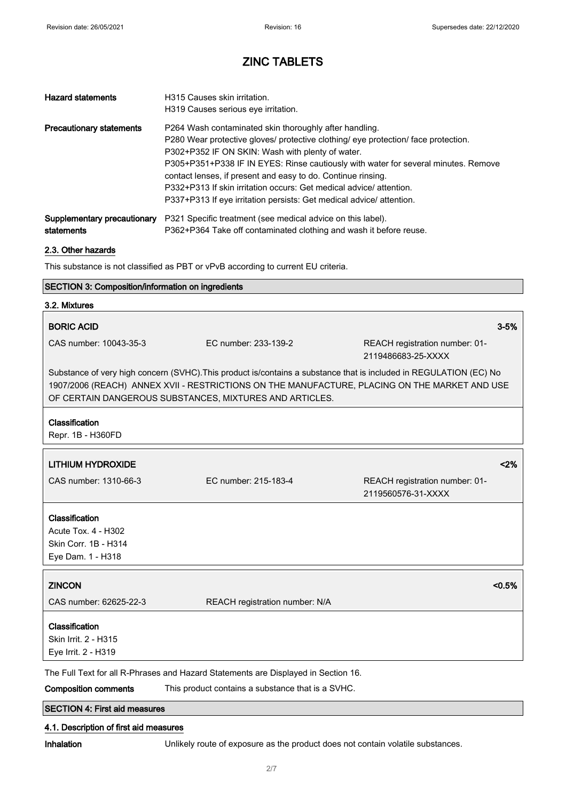| <b>Hazard statements</b>                  | H315 Causes skin irritation.<br>H319 Causes serious eye irritation.                                                                                                                                                                                                                                                                                                                                                                                                                                  |
|-------------------------------------------|------------------------------------------------------------------------------------------------------------------------------------------------------------------------------------------------------------------------------------------------------------------------------------------------------------------------------------------------------------------------------------------------------------------------------------------------------------------------------------------------------|
| <b>Precautionary statements</b>           | P264 Wash contaminated skin thoroughly after handling.<br>P280 Wear protective gloves/ protective clothing/ eye protection/ face protection.<br>P302+P352 IF ON SKIN: Wash with plenty of water.<br>P305+P351+P338 IF IN EYES: Rinse cautiously with water for several minutes. Remove<br>contact lenses, if present and easy to do. Continue rinsing.<br>P332+P313 If skin irritation occurs: Get medical advice/attention.<br>P337+P313 If eye irritation persists: Get medical advice/ attention. |
| Supplementary precautionary<br>statements | P321 Specific treatment (see medical advice on this label).<br>P362+P364 Take off contaminated clothing and wash it before reuse.                                                                                                                                                                                                                                                                                                                                                                    |

#### 2.3. Other hazards

This substance is not classified as PBT or vPvB according to current EU criteria.

### SECTION 3: Composition/information on ingredients

| 3.2. Mixtures                                                                      |                                                                                                                                                                                                                                                                                |                                                      |
|------------------------------------------------------------------------------------|--------------------------------------------------------------------------------------------------------------------------------------------------------------------------------------------------------------------------------------------------------------------------------|------------------------------------------------------|
| <b>BORIC ACID</b>                                                                  |                                                                                                                                                                                                                                                                                | $3 - 5%$                                             |
| CAS number: 10043-35-3                                                             | EC number: 233-139-2                                                                                                                                                                                                                                                           | REACH registration number: 01-<br>2119486683-25-XXXX |
|                                                                                    | Substance of very high concern (SVHC). This product is/contains a substance that is included in REGULATION (EC) No<br>1907/2006 (REACH) ANNEX XVII - RESTRICTIONS ON THE MANUFACTURE, PLACING ON THE MARKET AND USE<br>OF CERTAIN DANGEROUS SUBSTANCES, MIXTURES AND ARTICLES. |                                                      |
| Classification<br>Repr. 1B - H360FD                                                |                                                                                                                                                                                                                                                                                |                                                      |
| <b>LITHIUM HYDROXIDE</b>                                                           |                                                                                                                                                                                                                                                                                | < 2%                                                 |
| CAS number: 1310-66-3                                                              | EC number: 215-183-4                                                                                                                                                                                                                                                           | REACH registration number: 01-<br>2119560576-31-XXXX |
| Classification<br>Acute Tox. 4 - H302<br>Skin Corr. 1B - H314<br>Eye Dam. 1 - H318 |                                                                                                                                                                                                                                                                                |                                                      |
| <b>ZINCON</b>                                                                      |                                                                                                                                                                                                                                                                                | < 0.5%                                               |
| CAS number: 62625-22-3                                                             | REACH registration number: N/A                                                                                                                                                                                                                                                 |                                                      |
| Classification<br>Skin Irrit. 2 - H315<br>Eye Irrit. 2 - H319                      |                                                                                                                                                                                                                                                                                |                                                      |
|                                                                                    | The Full Text for all R-Phrases and Hazard Statements are Displayed in Section 16.                                                                                                                                                                                             |                                                      |
| <b>Composition comments</b>                                                        | This product contains a substance that is a SVHC.                                                                                                                                                                                                                              |                                                      |

SECTION 4: First aid measures

#### 4.1. Description of first aid measures

Inhalation Unlikely route of exposure as the product does not contain volatile substances.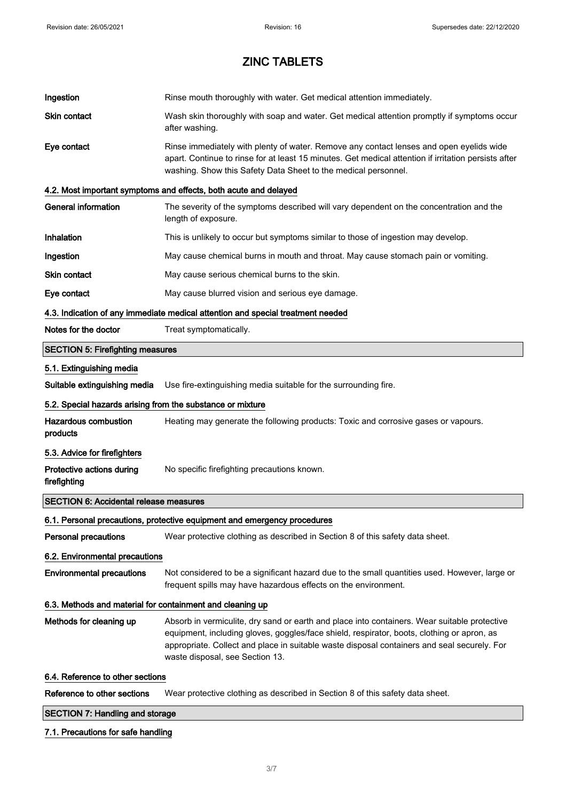| Ingestion                                                  | Rinse mouth thoroughly with water. Get medical attention immediately.                                                                                                                                                                                                                                                        |  |
|------------------------------------------------------------|------------------------------------------------------------------------------------------------------------------------------------------------------------------------------------------------------------------------------------------------------------------------------------------------------------------------------|--|
| Skin contact                                               | Wash skin thoroughly with soap and water. Get medical attention promptly if symptoms occur<br>after washing.                                                                                                                                                                                                                 |  |
| Eye contact                                                | Rinse immediately with plenty of water. Remove any contact lenses and open eyelids wide<br>apart. Continue to rinse for at least 15 minutes. Get medical attention if irritation persists after<br>washing. Show this Safety Data Sheet to the medical personnel.                                                            |  |
|                                                            | 4.2. Most important symptoms and effects, both acute and delayed                                                                                                                                                                                                                                                             |  |
| <b>General information</b>                                 | The severity of the symptoms described will vary dependent on the concentration and the<br>length of exposure.                                                                                                                                                                                                               |  |
| Inhalation                                                 | This is unlikely to occur but symptoms similar to those of ingestion may develop.                                                                                                                                                                                                                                            |  |
| Ingestion                                                  | May cause chemical burns in mouth and throat. May cause stomach pain or vomiting.                                                                                                                                                                                                                                            |  |
| Skin contact                                               | May cause serious chemical burns to the skin.                                                                                                                                                                                                                                                                                |  |
| Eye contact                                                | May cause blurred vision and serious eye damage.                                                                                                                                                                                                                                                                             |  |
|                                                            | 4.3. Indication of any immediate medical attention and special treatment needed                                                                                                                                                                                                                                              |  |
| Notes for the doctor                                       | Treat symptomatically.                                                                                                                                                                                                                                                                                                       |  |
| <b>SECTION 5: Firefighting measures</b>                    |                                                                                                                                                                                                                                                                                                                              |  |
| 5.1. Extinguishing media                                   |                                                                                                                                                                                                                                                                                                                              |  |
| Suitable extinguishing media                               | Use fire-extinguishing media suitable for the surrounding fire.                                                                                                                                                                                                                                                              |  |
| 5.2. Special hazards arising from the substance or mixture |                                                                                                                                                                                                                                                                                                                              |  |
| <b>Hazardous combustion</b><br>products                    | Heating may generate the following products: Toxic and corrosive gases or vapours.                                                                                                                                                                                                                                           |  |
| 5.3. Advice for firefighters                               |                                                                                                                                                                                                                                                                                                                              |  |
| Protective actions during<br>firefighting                  | No specific firefighting precautions known.                                                                                                                                                                                                                                                                                  |  |
| <b>SECTION 6: Accidental release measures</b>              |                                                                                                                                                                                                                                                                                                                              |  |
|                                                            | 6.1. Personal precautions, protective equipment and emergency procedures                                                                                                                                                                                                                                                     |  |
| <b>Personal precautions</b>                                | Wear protective clothing as described in Section 8 of this safety data sheet.                                                                                                                                                                                                                                                |  |
| 6.2. Environmental precautions                             |                                                                                                                                                                                                                                                                                                                              |  |
| <b>Environmental precautions</b>                           | Not considered to be a significant hazard due to the small quantities used. However, large or<br>frequent spills may have hazardous effects on the environment.                                                                                                                                                              |  |
| 6.3. Methods and material for containment and cleaning up  |                                                                                                                                                                                                                                                                                                                              |  |
| Methods for cleaning up                                    | Absorb in vermiculite, dry sand or earth and place into containers. Wear suitable protective<br>equipment, including gloves, goggles/face shield, respirator, boots, clothing or apron, as<br>appropriate. Collect and place in suitable waste disposal containers and seal securely. For<br>waste disposal, see Section 13. |  |
| 6.4. Reference to other sections                           |                                                                                                                                                                                                                                                                                                                              |  |
| Reference to other sections                                | Wear protective clothing as described in Section 8 of this safety data sheet.                                                                                                                                                                                                                                                |  |
| <b>SECTION 7: Handling and storage</b>                     |                                                                                                                                                                                                                                                                                                                              |  |

### 7.1. Precautions for safe handling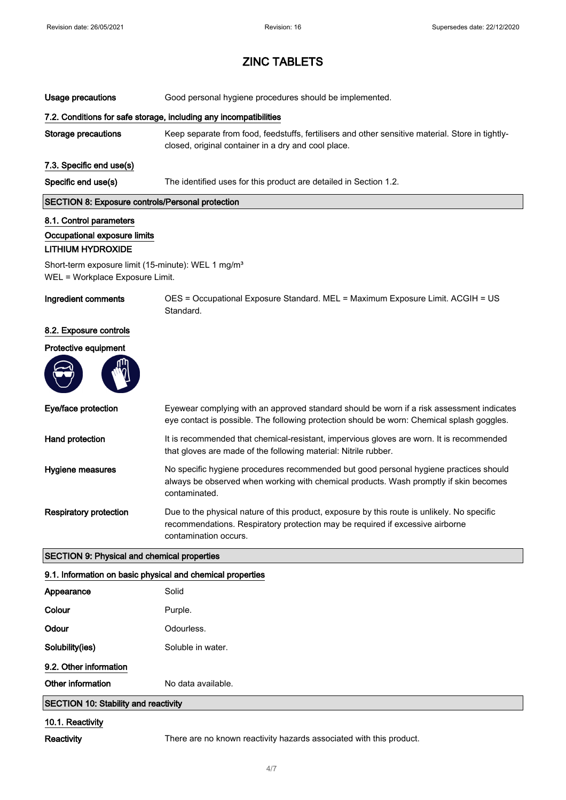| Usage precautions                                                                                 | Good personal hygiene procedures should be implemented.                                                                                                                                               |  |
|---------------------------------------------------------------------------------------------------|-------------------------------------------------------------------------------------------------------------------------------------------------------------------------------------------------------|--|
|                                                                                                   | 7.2. Conditions for safe storage, including any incompatibilities                                                                                                                                     |  |
| <b>Storage precautions</b>                                                                        | Keep separate from food, feedstuffs, fertilisers and other sensitive material. Store in tightly-<br>closed, original container in a dry and cool place.                                               |  |
| 7.3. Specific end use(s)                                                                          |                                                                                                                                                                                                       |  |
| Specific end use(s)                                                                               | The identified uses for this product are detailed in Section 1.2.                                                                                                                                     |  |
| <b>SECTION 8: Exposure controls/Personal protection</b>                                           |                                                                                                                                                                                                       |  |
| 8.1. Control parameters<br>Occupational exposure limits<br><b>LITHIUM HYDROXIDE</b>               |                                                                                                                                                                                                       |  |
| Short-term exposure limit (15-minute): WEL 1 mg/m <sup>3</sup><br>WEL = Workplace Exposure Limit. |                                                                                                                                                                                                       |  |
| Ingredient comments                                                                               | OES = Occupational Exposure Standard. MEL = Maximum Exposure Limit. ACGIH = US<br>Standard.                                                                                                           |  |
| 8.2. Exposure controls                                                                            |                                                                                                                                                                                                       |  |
| Protective equipment                                                                              |                                                                                                                                                                                                       |  |
|                                                                                                   |                                                                                                                                                                                                       |  |
| Eye/face protection                                                                               | Eyewear complying with an approved standard should be worn if a risk assessment indicates<br>eye contact is possible. The following protection should be worn: Chemical splash goggles.               |  |
| Hand protection                                                                                   | It is recommended that chemical-resistant, impervious gloves are worn. It is recommended<br>that gloves are made of the following material: Nitrile rubber.                                           |  |
| Hygiene measures                                                                                  | No specific hygiene procedures recommended but good personal hygiene practices should<br>always be observed when working with chemical products. Wash promptly if skin becomes<br>contaminated.       |  |
| <b>Respiratory protection</b>                                                                     | Due to the physical nature of this product, exposure by this route is unlikely. No specific<br>recommendations. Respiratory protection may be required if excessive airborne<br>contamination occurs. |  |
| <b>SECTION 9: Physical and chemical properties</b>                                                |                                                                                                                                                                                                       |  |
| 9.1. Information on basic physical and chemical properties                                        |                                                                                                                                                                                                       |  |
| Appearance                                                                                        | Solid                                                                                                                                                                                                 |  |
| Colour                                                                                            | Purple.                                                                                                                                                                                               |  |
| Odour                                                                                             | Odourless.                                                                                                                                                                                            |  |
| Solubility(ies)                                                                                   | Soluble in water.                                                                                                                                                                                     |  |
| 9.2. Other information                                                                            |                                                                                                                                                                                                       |  |
| Other information                                                                                 | No data available.                                                                                                                                                                                    |  |

### SECTION 10: Stability and reactivity

#### 10.1. Reactivity

Reactivity There are no known reactivity hazards associated with this product.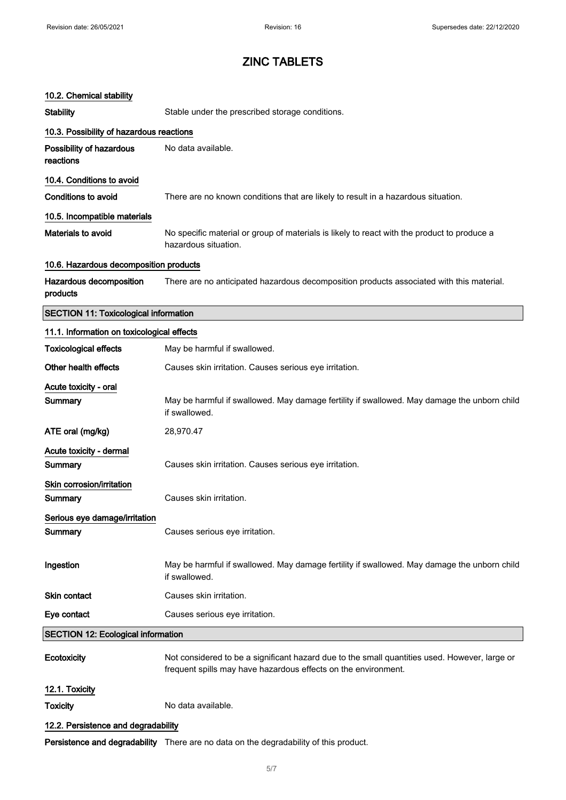#### 10.2. Chemical stability

Acute toxicity - oral

| <b>Stability</b> |  |  |
|------------------|--|--|
|                  |  |  |
|                  |  |  |

Stable under the prescribed storage conditions.

| 10.3. Possibility of hazardous reactions     |                                                                                                                     |  |
|----------------------------------------------|---------------------------------------------------------------------------------------------------------------------|--|
| Possibility of hazardous<br>reactions        | No data available.                                                                                                  |  |
| 10.4. Conditions to avoid                    |                                                                                                                     |  |
| Conditions to avoid                          | There are no known conditions that are likely to result in a hazardous situation.                                   |  |
| 10.5. Incompatible materials                 |                                                                                                                     |  |
| Materials to avoid                           | No specific material or group of materials is likely to react with the product to produce a<br>hazardous situation. |  |
| 10.6. Hazardous decomposition products       |                                                                                                                     |  |
| Hazardous decomposition<br>products          | There are no anticipated hazardous decomposition products associated with this material.                            |  |
| <b>SECTION 11: Toxicological information</b> |                                                                                                                     |  |
| 11.1. Information on toxicological effects   |                                                                                                                     |  |
| <b>Toxicological effects</b>                 | May be harmful if swallowed.                                                                                        |  |
| Other health effects                         | Causes skin irritation. Causes serious eye irritation.                                                              |  |

Summary May be harmful if swallowed. May damage fertility if swallowed. May damage the unborn child if swallowed. ATE oral (mg/kg) 28,970.47 Acute toxicity - dermal Summary Causes skin irritation. Causes serious eye irritation. Skin corrosion/irritation

| Eye contact                                       | Causes serious eye irritation.                                                                               |
|---------------------------------------------------|--------------------------------------------------------------------------------------------------------------|
| Skin contact                                      | Causes skin irritation.                                                                                      |
| Ingestion                                         | May be harmful if swallowed. May damage fertility if swallowed. May damage the unborn child<br>if swallowed. |
| Serious eye damage/irritation<br>Summary          | Causes serious eye irritation.                                                                               |
| <b>ONIII GUITUSIUI I/III III IIIUI</b><br>Summary | Causes skin irritation.                                                                                      |

SECTION 12: Ecological information

Ecotoxicity Not considered to be a significant hazard due to the small quantities used. However, large or frequent spills may have hazardous effects on the environment.

12.1. Toxicity

Toxicity No data available.

#### 12.2. Persistence and degradability

Persistence and degradability There are no data on the degradability of this product.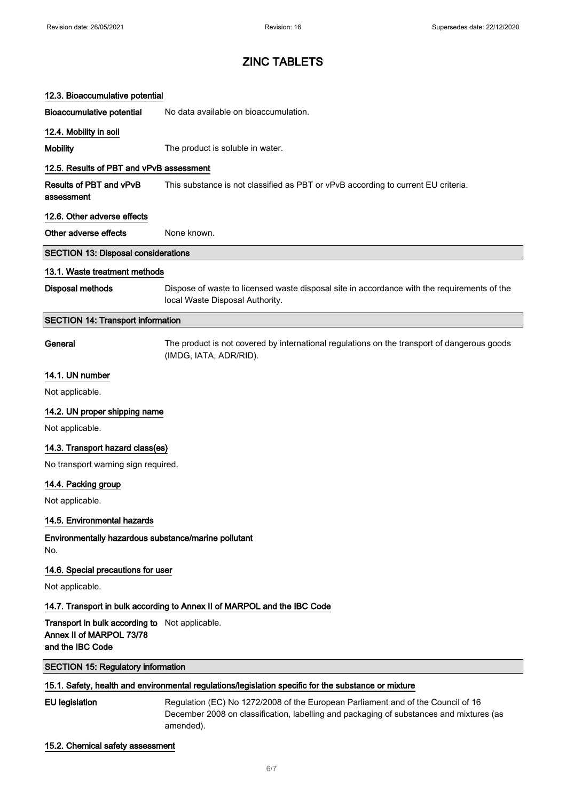| 12.3. Bioaccumulative potential                                                                |                                                                                                                                                                                          |
|------------------------------------------------------------------------------------------------|------------------------------------------------------------------------------------------------------------------------------------------------------------------------------------------|
| <b>Bioaccumulative potential</b>                                                               | No data available on bioaccumulation.                                                                                                                                                    |
| 12.4. Mobility in soil                                                                         |                                                                                                                                                                                          |
| <b>Mobility</b>                                                                                | The product is soluble in water.                                                                                                                                                         |
| 12.5. Results of PBT and vPvB assessment                                                       |                                                                                                                                                                                          |
| Results of PBT and vPvB<br>assessment                                                          | This substance is not classified as PBT or vPvB according to current EU criteria.                                                                                                        |
| 12.6. Other adverse effects                                                                    |                                                                                                                                                                                          |
| Other adverse effects                                                                          | None known.                                                                                                                                                                              |
| <b>SECTION 13: Disposal considerations</b>                                                     |                                                                                                                                                                                          |
| 13.1. Waste treatment methods                                                                  |                                                                                                                                                                                          |
| <b>Disposal methods</b>                                                                        | Dispose of waste to licensed waste disposal site in accordance with the requirements of the<br>local Waste Disposal Authority.                                                           |
| <b>SECTION 14: Transport information</b>                                                       |                                                                                                                                                                                          |
| General                                                                                        | The product is not covered by international regulations on the transport of dangerous goods<br>(IMDG, IATA, ADR/RID).                                                                    |
| 14.1. UN number                                                                                |                                                                                                                                                                                          |
| Not applicable.                                                                                |                                                                                                                                                                                          |
| 14.2. UN proper shipping name                                                                  |                                                                                                                                                                                          |
| Not applicable.                                                                                |                                                                                                                                                                                          |
| 14.3. Transport hazard class(es)                                                               |                                                                                                                                                                                          |
| No transport warning sign required.                                                            |                                                                                                                                                                                          |
| 14.4. Packing group                                                                            |                                                                                                                                                                                          |
| Not applicable.                                                                                |                                                                                                                                                                                          |
| 14.5. Environmental hazards                                                                    |                                                                                                                                                                                          |
| Environmentally hazardous substance/marine pollutant<br>No.                                    |                                                                                                                                                                                          |
| 14.6. Special precautions for user                                                             |                                                                                                                                                                                          |
| Not applicable.                                                                                |                                                                                                                                                                                          |
|                                                                                                | 14.7. Transport in bulk according to Annex II of MARPOL and the IBC Code                                                                                                                 |
| Transport in bulk according to Not applicable.<br>Annex II of MARPOL 73/78<br>and the IBC Code |                                                                                                                                                                                          |
| <b>SECTION 15: Regulatory information</b>                                                      |                                                                                                                                                                                          |
|                                                                                                | 15.1. Safety, health and environmental regulations/legislation specific for the substance or mixture                                                                                     |
| <b>EU</b> legislation                                                                          | Regulation (EC) No 1272/2008 of the European Parliament and of the Council of 16<br>December 2008 on classification, labelling and packaging of substances and mixtures (as<br>amended). |
| 15.2. Chemical safety assessment                                                               |                                                                                                                                                                                          |